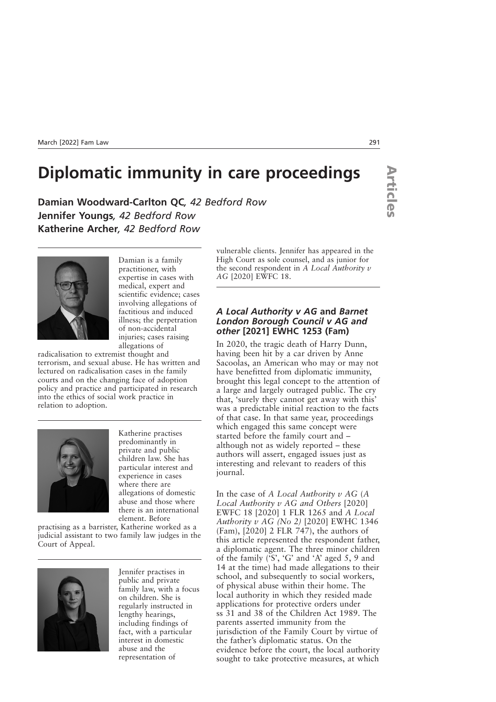# **Diplomatic immunity in care proceedings**

**Damian Woodward-Carlton QC***, 42 Bedford Row* **Jennifer Youngs***, 42 Bedford Row* **Katherine Archer***, 42 Bedford Row*



Damian is a family practitioner, with expertise in cases with medical, expert and scientific evidence; cases involving allegations of factitious and induced illness; the perpetration of non-accidental injuries; cases raising allegations of

radicalisation to extremist thought and terrorism, and sexual abuse. He has written and lectured on radicalisation cases in the family courts and on the changing face of adoption policy and practice and participated in research into the ethics of social work practice in relation to adoption.



Katherine practises predominantly in private and public children law. She has particular interest and experience in cases where there are allegations of domestic abuse and those where there is an international element. Before

practising as a barrister, Katherine worked as a judicial assistant to two family law judges in the Court of Appeal.



Jennifer practises in public and private family law, with a focus on children. She is regularly instructed in lengthy hearings, including findings of fact, with a particular interest in domestic abuse and the representation of

vulnerable clients. Jennifer has appeared in the High Court as sole counsel, and as junior for the second respondent in *A Local Authority v AG* [2020] EWFC 18.

#### *A Local Authority v AG* **and** *Barnet London Borough Council v AG and other* **[2021] EWHC 1253 (Fam)**

In 2020, the tragic death of Harry Dunn, having been hit by a car driven by Anne Sacoolas, an American who may or may not have benefitted from diplomatic immunity, brought this legal concept to the attention of a large and largely outraged public. The cry that, 'surely they cannot get away with this' was a predictable initial reaction to the facts of that case. In that same year, proceedings which engaged this same concept were started before the family court and – although not as widely reported – these authors will assert, engaged issues just as interesting and relevant to readers of this journal.

In the case of *A Local Authority v AG* (*A Local Authority v AG and Others* [2020] EWFC 18 [2020] 1 FLR 1265 and *A Local Authority v AG (No 2)* [2020] EWHC 1346 (Fam), [2020] 2 FLR 747), the authors of this article represented the respondent father, a diplomatic agent. The three minor children of the family  $(\overline{S}, \overline{G})$  and 'A' aged 5, 9 and 14 at the time) had made allegations to their school, and subsequently to social workers, of physical abuse within their home. The local authority in which they resided made applications for protective orders under ss 31 and 38 of the Children Act 1989. The parents asserted immunity from the jurisdiction of the Family Court by virtue of the father's diplomatic status. On the evidence before the court, the local authority sought to take protective measures, at which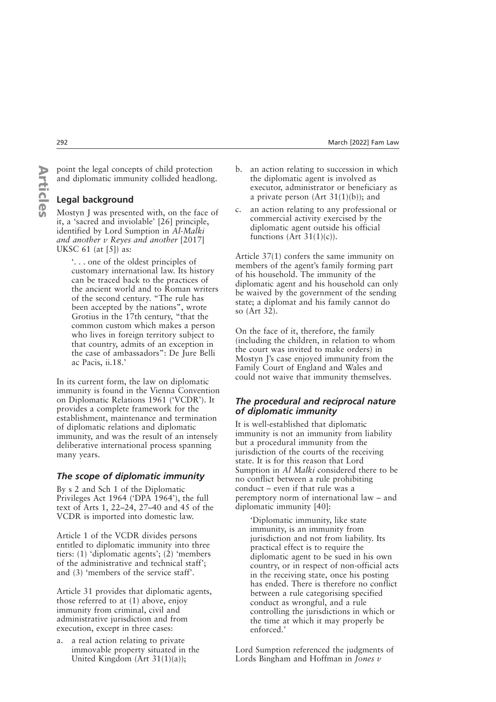#### point the legal concepts of child protection and diplomatic immunity collided headlong.

# **Legal background**

Mostyn J was presented with, on the face of it, a 'sacred and inviolable' [26] principle, identified by Lord Sumption in *Al-Malki and another v Reyes and another* [2017] UKSC 61 (at [5]) as:

> '. . . one of the oldest principles of customary international law. Its history can be traced back to the practices of the ancient world and to Roman writers of the second century. "The rule has been accepted by the nations", wrote Grotius in the 17th century, "that the common custom which makes a person who lives in foreign territory subject to that country, admits of an exception in the case of ambassadors": De Jure Belli ac Pacis, ii.18.'

In its current form, the law on diplomatic immunity is found in the Vienna Convention on Diplomatic Relations 1961 ('VCDR'). It provides a complete framework for the establishment, maintenance and termination of diplomatic relations and diplomatic immunity, and was the result of an intensely deliberative international process spanning many years.

## *The scope of diplomatic immunity*

By s 2 and Sch 1 of the Diplomatic Privileges Act 1964 ('DPA 1964'), the full text of Arts 1, 22–24, 27–40 and 45 of the VCDR is imported into domestic law.

Article 1 of the VCDR divides persons entitled to diplomatic immunity into three tiers: (1) 'diplomatic agents'; (2) 'members of the administrative and technical staff'; and (3) 'members of the service staff'.

Article 31 provides that diplomatic agents, those referred to at (1) above, enjoy immunity from criminal, civil and administrative jurisdiction and from execution, except in three cases:

a. a real action relating to private immovable property situated in the United Kingdom (Art 31(1)(a));

- b. an action relating to succession in which the diplomatic agent is involved as executor, administrator or beneficiary as a private person (Art  $31(1)(b)$ ); and
- c. an action relating to any professional or commercial activity exercised by the diplomatic agent outside his official functions (Art  $31(1)(c)$ ).

Article 37(1) confers the same immunity on members of the agent's family forming part of his household. The immunity of the diplomatic agent and his household can only be waived by the government of the sending state; a diplomat and his family cannot do so (Art 32).

On the face of it, therefore, the family (including the children, in relation to whom the court was invited to make orders) in Mostyn I's case enjoyed immunity from the Family Court of England and Wales and could not waive that immunity themselves.

## *The procedural and reciprocal nature of diplomatic immunity*

It is well-established that diplomatic immunity is not an immunity from liability but a procedural immunity from the jurisdiction of the courts of the receiving state. It is for this reason that Lord Sumption in *Al Malki* considered there to be no conflict between a rule prohibiting conduct – even if that rule was a peremptory norm of international law – and diplomatic immunity [40]:

'Diplomatic immunity, like state immunity, is an immunity from jurisdiction and not from liability. Its practical effect is to require the diplomatic agent to be sued in his own country, or in respect of non-official acts in the receiving state, once his posting has ended. There is therefore no conflict between a rule categorising specified conduct as wrongful, and a rule controlling the jurisdictions in which or the time at which it may properly be enforced.'

Lord Sumption referenced the judgments of Lords Bingham and Hoffman in *Jones v*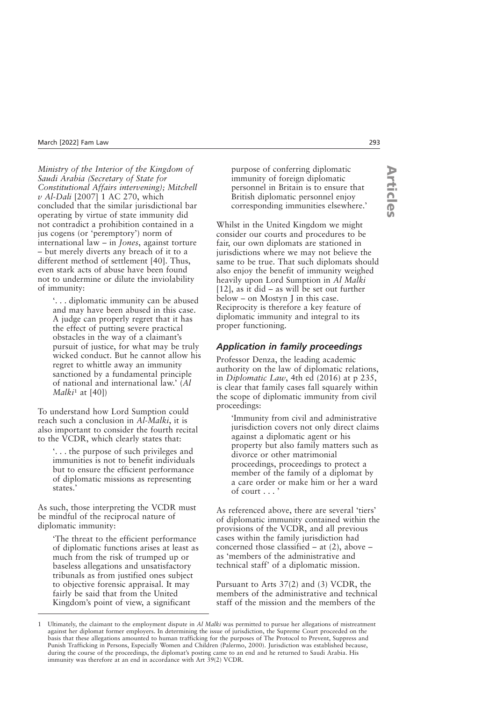*Ministry of the Interior of the Kingdom of Saudi Arabia (Secretary of State for Constitutional Affairs intervening); Mitchell v Al-Dali* [2007] 1 AC 270, which concluded that the similar jurisdictional bar operating by virtue of state immunity did not contradict a prohibition contained in a jus cogens (or 'peremptory') norm of international law – in *Jones*, against torture – but merely diverts any breach of it to a different method of settlement [40]. Thus, even stark acts of abuse have been found not to undermine or dilute the inviolability of immunity:

'. . . diplomatic immunity can be abused and may have been abused in this case. A judge can properly regret that it has the effect of putting severe practical obstacles in the way of a claimant's pursuit of justice, for what may be truly wicked conduct. But he cannot allow his regret to whittle away an immunity sanctioned by a fundamental principle of national and international law.' (*Al Malki*<sup>1</sup> at [40])

To understand how Lord Sumption could reach such a conclusion in *Al-Malki*, it is also important to consider the fourth recital to the VCDR, which clearly states that:

'. . . the purpose of such privileges and immunities is not to benefit individuals but to ensure the efficient performance of diplomatic missions as representing states.'

As such, those interpreting the VCDR must be mindful of the reciprocal nature of diplomatic immunity:

'The threat to the efficient performance of diplomatic functions arises at least as much from the risk of trumped up or baseless allegations and unsatisfactory tribunals as from justified ones subject to objective forensic appraisal. It may fairly be said that from the United Kingdom's point of view, a significant

purpose of conferring diplomatic immunity of foreign diplomatic personnel in Britain is to ensure that British diplomatic personnel enjoy corresponding immunities elsewhere.'

Whilst in the United Kingdom we might consider our courts and procedures to be fair, our own diplomats are stationed in jurisdictions where we may not believe the same to be true. That such diplomats should also enjoy the benefit of immunity weighed heavily upon Lord Sumption in *Al Malki* [12], as it did – as will be set out further below – on Mostyn J in this case. Reciprocity is therefore a key feature of diplomatic immunity and integral to its proper functioning.

#### *Application in family proceedings*

Professor Denza, the leading academic authority on the law of diplomatic relations, in *Diplomatic Law*, 4th ed (2016) at p 235, is clear that family cases fall squarely within the scope of diplomatic immunity from civil proceedings:

'Immunity from civil and administrative jurisdiction covers not only direct claims against a diplomatic agent or his property but also family matters such as divorce or other matrimonial proceedings, proceedings to protect a member of the family of a diplomat by a care order or make him or her a ward of court . . . '

As referenced above, there are several 'tiers' of diplomatic immunity contained within the provisions of the VCDR, and all previous cases within the family jurisdiction had concerned those classified – at (2), above – as 'members of the administrative and technical staff' of a diplomatic mission.

Pursuant to Arts 37(2) and (3) VCDR, the members of the administrative and technical staff of the mission and the members of the

<sup>1</sup> Ultimately, the claimant to the employment dispute in *Al Malki* was permitted to pursue her allegations of mistreatment against her diplomat former employers. In determining the issue of jurisdiction, the Supreme Court proceeded on the basis that these allegations amounted to human trafficking for the purposes of The Protocol to Prevent, Suppress and Punish Trafficking in Persons, Especially Women and Children (Palermo, 2000). Jurisdiction was established because, during the course of the proceedings, the diplomat's posting came to an end and he returned to Saudi Arabia. His immunity was therefore at an end in accordance with Art 39(2) VCDR.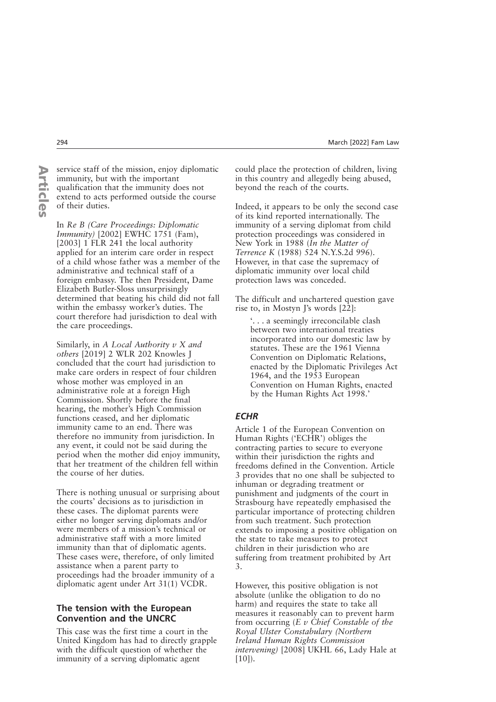**ArticlesArticles**  service staff of the mission, enjoy diplomatic immunity, but with the important qualification that the immunity does not extend to acts performed outside the course of their duties.

In *Re B (Care Proceedings: Diplomatic Immunity)* [2002] EWHC 1751 (Fam), [2003] 1 FLR 241 the local authority applied for an interim care order in respect of a child whose father was a member of the administrative and technical staff of a foreign embassy. The then President, Dame Elizabeth Butler-Sloss unsurprisingly determined that beating his child did not fall within the embassy worker's duties. The court therefore had jurisdiction to deal with the care proceedings.

Similarly, in *A Local Authority v X and others* [2019] 2 WLR 202 Knowles J concluded that the court had jurisdiction to make care orders in respect of four children whose mother was employed in an administrative role at a foreign High Commission. Shortly before the final hearing, the mother's High Commission functions ceased, and her diplomatic immunity came to an end. There was therefore no immunity from jurisdiction. In any event, it could not be said during the period when the mother did enjoy immunity, that her treatment of the children fell within the course of her duties.

There is nothing unusual or surprising about the courts' decisions as to jurisdiction in these cases. The diplomat parents were either no longer serving diplomats and/or were members of a mission's technical or administrative staff with a more limited immunity than that of diplomatic agents. These cases were, therefore, of only limited assistance when a parent party to proceedings had the broader immunity of a diplomatic agent under Art 31(1) VCDR.

#### **The tension with the European Convention and the UNCRC**

This case was the first time a court in the United Kingdom has had to directly grapple with the difficult question of whether the immunity of a serving diplomatic agent

could place the protection of children, living in this country and allegedly being abused, beyond the reach of the courts.

Indeed, it appears to be only the second case of its kind reported internationally. The immunity of a serving diplomat from child protection proceedings was considered in New York in 1988 (*In the Matter of Terrence K* (1988) 524 N.Y.S.2d 996). However, in that case the supremacy of diplomatic immunity over local child protection laws was conceded.

The difficult and unchartered question gave rise to, in Mostyn J's words [22]:

'. . . a seemingly irreconcilable clash between two international treaties incorporated into our domestic law by statutes. These are the 1961 Vienna Convention on Diplomatic Relations, enacted by the Diplomatic Privileges Act 1964, and the 1953 European Convention on Human Rights, enacted by the Human Rights Act 1998.'

#### *ECHR*

Article 1 of the European Convention on Human Rights ('ECHR') obliges the contracting parties to secure to everyone within their jurisdiction the rights and freedoms defined in the Convention. Article 3 provides that no one shall be subjected to inhuman or degrading treatment or punishment and judgments of the court in Strasbourg have repeatedly emphasised the particular importance of protecting children from such treatment. Such protection extends to imposing a positive obligation on the state to take measures to protect children in their jurisdiction who are suffering from treatment prohibited by Art 3.

However, this positive obligation is not absolute (unlike the obligation to do no harm) and requires the state to take all measures it reasonably can to prevent harm from occurring (*E v Chief Constable of the Royal Ulster Constabulary (Northern Ireland Human Rights Commission intervening)* [2008] UKHL 66, Lady Hale at  $[10]$ ).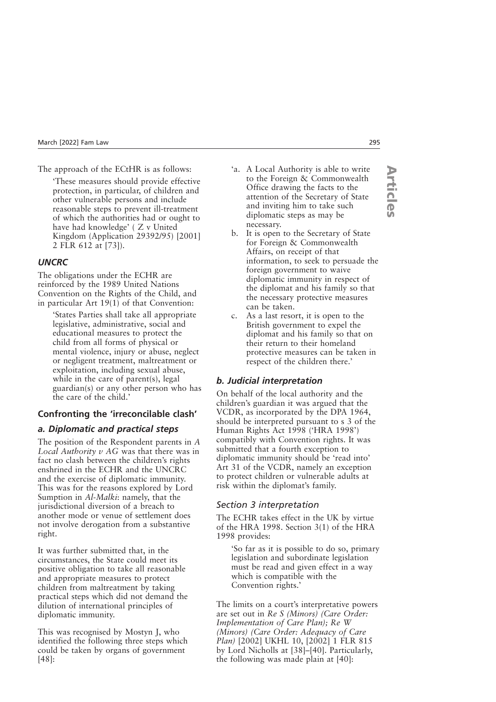The approach of the ECtHR is as follows:

'These measures should provide effective protection, in particular, of children and other vulnerable persons and include reasonable steps to prevent ill-treatment of which the authorities had or ought to have had knowledge' (Z v United Kingdom (Application 29392/95) [2001] 2 FLR 612 at [73]).

# *UNCRC*

The obligations under the ECHR are reinforced by the 1989 United Nations Convention on the Rights of the Child, and in particular Art 19(1) of that Convention:

'States Parties shall take all appropriate legislative, administrative, social and educational measures to protect the child from all forms of physical or mental violence, injury or abuse, neglect or negligent treatment, maltreatment or exploitation, including sexual abuse, while in the care of parent(s), legal guardian(s) or any other person who has the care of the child.'

# **Confronting the 'irreconcilable clash'**

## *a. Diplomatic and practical steps*

The position of the Respondent parents in *A Local Authority v AG* was that there was in fact no clash between the children's rights enshrined in the ECHR and the UNCRC and the exercise of diplomatic immunity. This was for the reasons explored by Lord Sumption in *Al-Malki*: namely, that the jurisdictional diversion of a breach to another mode or venue of settlement does not involve derogation from a substantive right.

It was further submitted that, in the circumstances, the State could meet its positive obligation to take all reasonable and appropriate measures to protect children from maltreatment by taking practical steps which did not demand the dilution of international principles of diplomatic immunity.

This was recognised by Mostyn J, who identified the following three steps which could be taken by organs of government [48]:

- 'a. A Local Authority is able to write to the Foreign & Commonwealth Office drawing the facts to the attention of the Secretary of State and inviting him to take such diplomatic steps as may be necessary.
- b. It is open to the Secretary of State for Foreign & Commonwealth Affairs, on receipt of that information, to seek to persuade the foreign government to waive diplomatic immunity in respect of the diplomat and his family so that the necessary protective measures can be taken.
- c. As a last resort, it is open to the British government to expel the diplomat and his family so that on their return to their homeland protective measures can be taken in respect of the children there.'

# *b. Judicial interpretation*

On behalf of the local authority and the children's guardian it was argued that the VCDR, as incorporated by the DPA 1964, should be interpreted pursuant to s 3 of the Human Rights Act 1998 ('HRA 1998') compatibly with Convention rights. It was submitted that a fourth exception to diplomatic immunity should be 'read into' Art 31 of the VCDR, namely an exception to protect children or vulnerable adults at risk within the diplomat's family.

## *Section 3 interpretation*

The ECHR takes effect in the UK by virtue of the HRA 1998. Section 3(1) of the HRA 1998 provides:

'So far as it is possible to do so, primary legislation and subordinate legislation must be read and given effect in a way which is compatible with the Convention rights.'

The limits on a court's interpretative powers are set out in *Re S (Minors) (Care Order: Implementation of Care Plan); Re W (Minors) (Care Order: Adequacy of Care Plan)* [2002] UKHL 10, [2002] 1 FLR 815 by Lord Nicholls at [38]–[40]. Particularly, the following was made plain at [40]: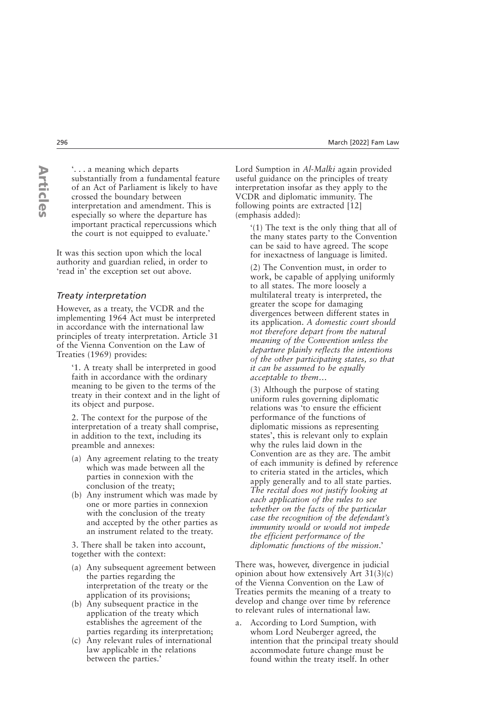**ArticlesArticles**  '. . . a meaning which departs substantially from a fundamental feature of an Act of Parliament is likely to have crossed the boundary between interpretation and amendment. This is especially so where the departure has important practical repercussions which the court is not equipped to evaluate.'

It was this section upon which the local authority and guardian relied, in order to 'read in' the exception set out above.

#### *Treaty interpretation*

However, as a treaty, the VCDR and the implementing 1964 Act must be interpreted in accordance with the international law principles of treaty interpretation. Article 31 of the Vienna Convention on the Law of Treaties (1969) provides:

'1. A treaty shall be interpreted in good faith in accordance with the ordinary meaning to be given to the terms of the treaty in their context and in the light of its object and purpose.

2. The context for the purpose of the interpretation of a treaty shall comprise, in addition to the text, including its preamble and annexes:

- (a) Any agreement relating to the treaty which was made between all the parties in connexion with the conclusion of the treaty;
- (b) Any instrument which was made by one or more parties in connexion with the conclusion of the treaty and accepted by the other parties as an instrument related to the treaty.

3. There shall be taken into account, together with the context:

- (a) Any subsequent agreement between the parties regarding the interpretation of the treaty or the application of its provisions;
- (b) Any subsequent practice in the application of the treaty which establishes the agreement of the parties regarding its interpretation;
- (c) Any relevant rules of international law applicable in the relations between the parties.'

Lord Sumption in *Al-Malki* again provided useful guidance on the principles of treaty interpretation insofar as they apply to the VCDR and diplomatic immunity. The following points are extracted [12] (emphasis added):

'(1) The text is the only thing that all of the many states party to the Convention can be said to have agreed. The scope for inexactness of language is limited.

(2) The Convention must, in order to work, be capable of applying uniformly to all states. The more loosely a multilateral treaty is interpreted, the greater the scope for damaging divergences between different states in its application. *A domestic court should not therefore depart from the natural meaning of the Convention unless the departure plainly reflects the intentions of the other participating states, so that it can be assumed to be equally acceptable to them*…

(3) Although the purpose of stating uniform rules governing diplomatic relations was 'to ensure the efficient performance of the functions of diplomatic missions as representing states', this is relevant only to explain why the rules laid down in the Convention are as they are. The ambit of each immunity is defined by reference to criteria stated in the articles, which apply generally and to all state parties. *The recital does not justify looking at each application of the rules to see whether on the facts of the particular case the recognition of the defendant's immunity would or would not impede the efficient performance of the diplomatic functions of the mission*.'

There was, however, divergence in judicial opinion about how extensively Art 31(3)(c) of the Vienna Convention on the Law of Treaties permits the meaning of a treaty to develop and change over time by reference to relevant rules of international law.

a. According to Lord Sumption, with whom Lord Neuberger agreed, the intention that the principal treaty should accommodate future change must be found within the treaty itself. In other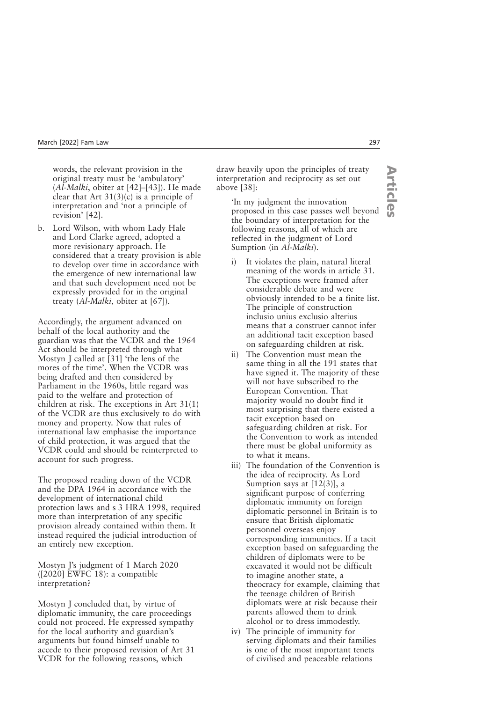words, the relevant provision in the original treaty must be 'ambulatory' (*Al-Malki*, obiter at [42]–[43]). He made clear that Art  $31(3)(c)$  is a principle of interpretation and 'not a principle of revision' [42].

b. Lord Wilson, with whom Lady Hale and Lord Clarke agreed, adopted a more revisionary approach. He considered that a treaty provision is able to develop over time in accordance with the emergence of new international law and that such development need not be expressly provided for in the original treaty (*Al-Malki*, obiter at [67]).

Accordingly, the argument advanced on behalf of the local authority and the guardian was that the VCDR and the 1964 Act should be interpreted through what Mostyn J called at [31] 'the lens of the mores of the time'. When the VCDR was being drafted and then considered by Parliament in the 1960s, little regard was paid to the welfare and protection of children at risk. The exceptions in Art 31(1) of the VCDR are thus exclusively to do with money and property. Now that rules of international law emphasise the importance of child protection, it was argued that the VCDR could and should be reinterpreted to account for such progress.

The proposed reading down of the VCDR and the DPA 1964 in accordance with the development of international child protection laws and s 3 HRA 1998, required more than interpretation of any specific provision already contained within them. It instead required the judicial introduction of an entirely new exception.

Mostyn J's judgment of 1 March 2020 ([2020] EWFC 18): a compatible interpretation?

Mostyn J concluded that, by virtue of diplomatic immunity, the care proceedings could not proceed. He expressed sympathy for the local authority and guardian's arguments but found himself unable to accede to their proposed revision of Art 31 VCDR for the following reasons, which

draw heavily upon the principles of treaty interpretation and reciprocity as set out above [38]:

'In my judgment the innovation proposed in this case passes well beyond the boundary of interpretation for the following reasons, all of which are reflected in the judgment of Lord Sumption (in *Al-Malki*).

- i) It violates the plain, natural literal meaning of the words in article 31. The exceptions were framed after considerable debate and were obviously intended to be a finite list. The principle of construction inclusio unius exclusio alterius means that a construer cannot infer an additional tacit exception based on safeguarding children at risk.
- ii) The Convention must mean the same thing in all the 191 states that have signed it. The majority of these will not have subscribed to the European Convention. That majority would no doubt find it most surprising that there existed a tacit exception based on safeguarding children at risk. For the Convention to work as intended there must be global uniformity as to what it means.
- iii) The foundation of the Convention is the idea of reciprocity. As Lord Sumption says at [12(3)], a significant purpose of conferring diplomatic immunity on foreign diplomatic personnel in Britain is to ensure that British diplomatic personnel overseas enjoy corresponding immunities. If a tacit exception based on safeguarding the children of diplomats were to be excavated it would not be difficult to imagine another state, a theocracy for example, claiming that the teenage children of British diplomats were at risk because their parents allowed them to drink alcohol or to dress immodestly.
- iv) The principle of immunity for serving diplomats and their families is one of the most important tenets of civilised and peaceable relations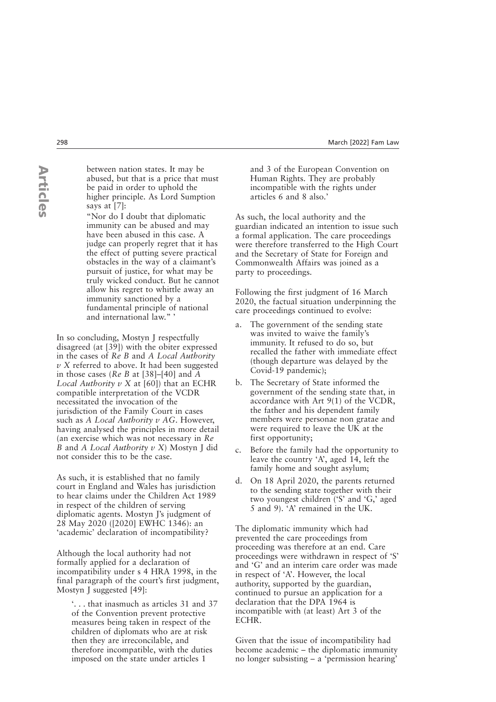between nation states. It may be abused, but that is a price that must be paid in order to uphold the higher principle. As Lord Sumption says at [7]:

"Nor do I doubt that diplomatic immunity can be abused and may have been abused in this case. A judge can properly regret that it has the effect of putting severe practical obstacles in the way of a claimant's pursuit of justice, for what may be truly wicked conduct. But he cannot allow his regret to whittle away an immunity sanctioned by a fundamental principle of national and international law." '

In so concluding, Mostyn J respectfully disagreed (at [39]) with the obiter expressed in the cases of *Re B* and *A Local Authority v X* referred to above. It had been suggested in those cases (*Re B* at [38]–[40] and *A Local Authority v X* at [60]) that an ECHR compatible interpretation of the VCDR necessitated the invocation of the jurisdiction of the Family Court in cases such as *A Local Authority v AG*. However, having analysed the principles in more detail (an exercise which was not necessary in *Re B* and *A Local Authority v X*) Mostyn J did not consider this to be the case.

As such, it is established that no family court in England and Wales has jurisdiction to hear claims under the Children Act 1989 in respect of the children of serving diplomatic agents. Mostyn J's judgment of 28 May 2020 ([2020] EWHC 1346): an 'academic' declaration of incompatibility?

Although the local authority had not formally applied for a declaration of incompatibility under s 4 HRA 1998, in the final paragraph of the court's first judgment, Mostyn J suggested [49]:

'. . . that inasmuch as articles 31 and 37 of the Convention prevent protective measures being taken in respect of the children of diplomats who are at risk then they are irreconcilable, and therefore incompatible, with the duties imposed on the state under articles 1

and 3 of the European Convention on Human Rights. They are probably incompatible with the rights under articles 6 and 8 also.'

As such, the local authority and the guardian indicated an intention to issue such a formal application. The care proceedings were therefore transferred to the High Court and the Secretary of State for Foreign and Commonwealth Affairs was joined as a party to proceedings.

Following the first judgment of 16 March 2020, the factual situation underpinning the care proceedings continued to evolve:

- a. The government of the sending state was invited to waive the family's immunity. It refused to do so, but recalled the father with immediate effect (though departure was delayed by the Covid-19 pandemic);
- b. The Secretary of State informed the government of the sending state that, in accordance with Art 9(1) of the VCDR, the father and his dependent family members were personae non gratae and were required to leave the UK at the first opportunity;
- c. Before the family had the opportunity to leave the country 'A', aged 14, left the family home and sought asylum;
- d. On 18 April 2020, the parents returned to the sending state together with their two youngest children ('S' and 'G,' aged 5 and 9). 'A' remained in the UK.

The diplomatic immunity which had prevented the care proceedings from proceeding was therefore at an end. Care proceedings were withdrawn in respect of 'S' and 'G' and an interim care order was made in respect of 'A'. However, the local authority, supported by the guardian, continued to pursue an application for a declaration that the DPA 1964 is incompatible with (at least) Art 3 of the ECHR.

Given that the issue of incompatibility had become academic – the diplomatic immunity no longer subsisting – a 'permission hearing'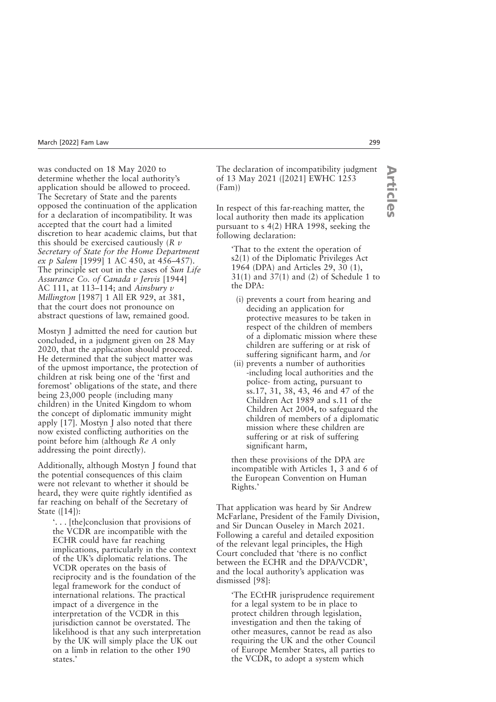was conducted on 18 May 2020 to determine whether the local authority's application should be allowed to proceed. The Secretary of State and the parents opposed the continuation of the application for a declaration of incompatibility. It was accepted that the court had a limited discretion to hear academic claims, but that this should be exercised cautiously (*R v Secretary of State for the Home Department ex p Salem* [1999] 1 AC 450, at 456–457). The principle set out in the cases of *Sun Life Assurance Co. of Canada v Jervis* [1944] AC 111, at 113–114; and *Ainsbury v Millington* [1987] 1 All ER 929, at 381, that the court does not pronounce on abstract questions of law, remained good.

Mostyn J admitted the need for caution but concluded, in a judgment given on 28 May 2020, that the application should proceed. He determined that the subject matter was of the upmost importance, the protection of children at risk being one of the 'first and foremost' obligations of the state, and there being 23,000 people (including many children) in the United Kingdom to whom the concept of diplomatic immunity might apply [17]. Mostyn J also noted that there now existed conflicting authorities on the point before him (although *Re A* only addressing the point directly).

Additionally, although Mostyn J found that the potential consequences of this claim were not relevant to whether it should be heard, they were quite rightly identified as far reaching on behalf of the Secretary of State ([14]):

'. . . [the]conclusion that provisions of the VCDR are incompatible with the ECHR could have far reaching implications, particularly in the context of the UK's diplomatic relations. The VCDR operates on the basis of reciprocity and is the foundation of the legal framework for the conduct of international relations. The practical impact of a divergence in the interpretation of the VCDR in this jurisdiction cannot be overstated. The likelihood is that any such interpretation by the UK will simply place the UK out on a limb in relation to the other 190 states.'

The declaration of incompatibility judgment of 13 May 2021 ([2021] EWHC 1253 (Fam))

In respect of this far-reaching matter, the local authority then made its application pursuant to s 4(2) HRA 1998, seeking the following declaration:

'That to the extent the operation of s2(1) of the Diplomatic Privileges Act 1964 (DPA) and Articles 29, 30 (1), 31(1) and 37(1) and (2) of Schedule 1 to the DPA:

- (i) prevents a court from hearing and deciding an application for protective measures to be taken in respect of the children of members of a diplomatic mission where these children are suffering or at risk of suffering significant harm, and /or
- (ii) prevents a number of authorities -including local authorities and the police- from acting, pursuant to ss.17, 31, 38, 43, 46 and 47 of the Children Act 1989 and s.11 of the Children Act 2004, to safeguard the children of members of a diplomatic mission where these children are suffering or at risk of suffering significant harm,

then these provisions of the DPA are incompatible with Articles 1, 3 and 6 of the European Convention on Human Rights.'

That application was heard by Sir Andrew McFarlane, President of the Family Division, and Sir Duncan Ouseley in March 2021. Following a careful and detailed exposition of the relevant legal principles, the High Court concluded that 'there is no conflict between the ECHR and the DPA/VCDR', and the local authority's application was dismissed [98]:

'The ECtHR jurisprudence requirement for a legal system to be in place to protect children through legislation, investigation and then the taking of other measures, cannot be read as also requiring the UK and the other Council of Europe Member States, all parties to the VCDR, to adopt a system which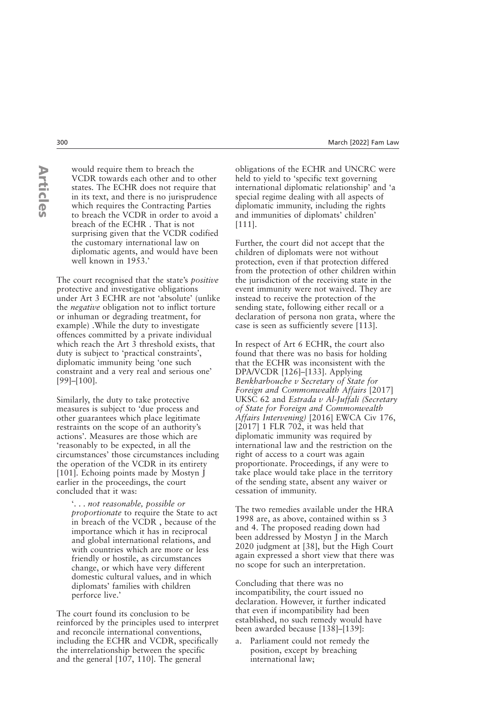**ArticlesArticles**  would require them to breach the VCDR towards each other and to other states. The ECHR does not require that in its text, and there is no jurisprudence which requires the Contracting Parties to breach the VCDR in order to avoid a breach of the ECHR . That is not surprising given that the VCDR codified the customary international law on diplomatic agents, and would have been well known in 1953.'

The court recognised that the state's *positive* protective and investigative obligations under Art 3 ECHR are not 'absolute' (unlike the *negative* obligation not to inflict torture or inhuman or degrading treatment, for example) .While the duty to investigate offences committed by a private individual which reach the Art 3 threshold exists, that duty is subject to 'practical constraints', diplomatic immunity being 'one such constraint and a very real and serious one' [99]–[100].

Similarly, the duty to take protective measures is subject to 'due process and other guarantees which place legitimate restraints on the scope of an authority's actions'. Measures are those which are 'reasonably to be expected, in all the circumstances' those circumstances including the operation of the VCDR in its entirety [101]. Echoing points made by Mostyn J earlier in the proceedings, the court concluded that it was:

'. . . *not reasonable, possible or proportionate* to require the State to act in breach of the VCDR , because of the importance which it has in reciprocal and global international relations, and with countries which are more or less friendly or hostile, as circumstances change, or which have very different domestic cultural values, and in which diplomats' families with children perforce live.'

The court found its conclusion to be reinforced by the principles used to interpret and reconcile international conventions, including the ECHR and VCDR, specifically the interrelationship between the specific and the general [107, 110]. The general

obligations of the ECHR and UNCRC were held to yield to 'specific text governing international diplomatic relationship' and 'a special regime dealing with all aspects of diplomatic immunity, including the rights and immunities of diplomats' children' [111].

Further, the court did not accept that the children of diplomats were not without protection, even if that protection differed from the protection of other children within the jurisdiction of the receiving state in the event immunity were not waived. They are instead to receive the protection of the sending state, following either recall or a declaration of persona non grata, where the case is seen as sufficiently severe [113].

In respect of Art 6 ECHR, the court also found that there was no basis for holding that the ECHR was inconsistent with the DPA/VCDR [126]–[133]. Applying *Benkharbouche v Secretary of State for Foreign and Commonwealth Affairs* [2017] UKSC 62 and *Estrada v Al-Juffali (Secretary of State for Foreign and Commonwealth Affairs Intervening)* [2016] EWCA Civ 176, [2017] 1 FLR 702, it was held that diplomatic immunity was required by international law and the restriction on the right of access to a court was again proportionate. Proceedings, if any were to take place would take place in the territory of the sending state, absent any waiver or cessation of immunity.

The two remedies available under the HRA 1998 are, as above, contained within ss 3 and 4. The proposed reading down had been addressed by Mostyn J in the March 2020 judgment at [38], but the High Court again expressed a short view that there was no scope for such an interpretation.

Concluding that there was no incompatibility, the court issued no declaration. However, it further indicated that even if incompatibility had been established, no such remedy would have been awarded because [138]–[139]:

a. Parliament could not remedy the position, except by breaching international law;